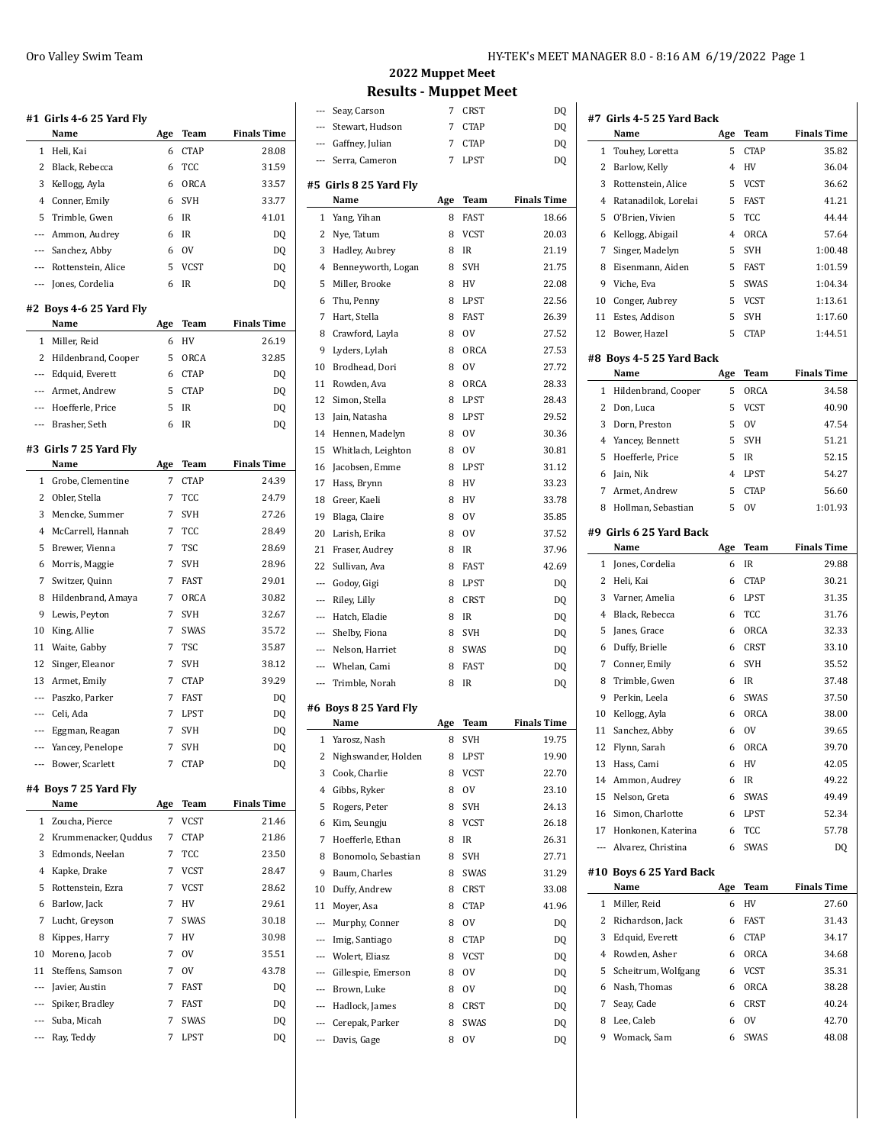|                          | #1  Girls 4-6 25 Yard Fly |     |               |                    |
|--------------------------|---------------------------|-----|---------------|--------------------|
|                          | Name                      | Age | Team          | <b>Finals Time</b> |
| 1                        | Heli, Kai                 | 6   | <b>CTAP</b>   | 28.08              |
| 2                        | Black, Rebecca            | 6   | TCC           | 31.59              |
| 3                        | Kellogg, Ayla             | 6   | ORCA          | 33.57              |
| 4                        | Conner, Emily             | 6   | <b>SVH</b>    | 33.77              |
| 5                        | Trimble, Gwen             | 6   | IR            | 41.01              |
| $---$                    | Ammon, Audrey             | 6   | IR            | DQ                 |
| ---                      | Sanchez, Abby             | 6   | <sub>OV</sub> | DQ                 |
| ---                      | Rottenstein, Alice        | 5   | <b>VCST</b>   | DQ                 |
| ---                      | Jones, Cordelia           | 6   | IR            | DQ                 |
|                          | #2 Boys 4-6 25 Yard Fly   |     |               |                    |
|                          | Name                      | Age | Team          | <b>Finals Time</b> |
| 1                        | Miller, Reid              | 6   | HV            | 26.19              |
| 2                        | Hildenbrand, Cooper       | 5   | ORCA          | 32.85              |
| ---                      | Edquid, Everett           | 6   | <b>CTAP</b>   | DQ                 |
| ---                      | Armet, Andrew             | 5   | <b>CTAP</b>   |                    |
| $---$                    |                           | 5   | IR            | DQ                 |
|                          | Hoefferle, Price          |     |               | DQ                 |
| $\overline{\phantom{a}}$ | Brasher. Seth             | 6   | IR            | DQ                 |
|                          | #3  Girls 7 25 Yard Flv   |     |               |                    |
|                          | Name                      | Age | Team          | <b>Finals Time</b> |
| 1                        | Grobe, Clementine         | 7   | <b>CTAP</b>   | 24.39              |
| 2                        | Obler, Stella             | 7   | TCC           | 24.79              |
| 3                        | Mencke, Summer            | 7   | <b>SVH</b>    | 27.26              |
| 4                        | McCarrell, Hannah         | 7   | <b>TCC</b>    | 28.49              |
| 5                        | Brewer, Vienna            | 7   | TSC           | 28.69              |
| 6                        | Morris, Maggie            | 7   | SVH           | 28.96              |
| 7                        | Switzer, Quinn            | 7   | FAST          | 29.01              |
| 8                        | Hildenbrand, Amaya        | 7   | ORCA          | 30.82              |
| 9                        | Lewis, Peyton             | 7   | <b>SVH</b>    | 32.67              |
| 10                       | King, Allie               | 7   | SWAS          | 35.72              |
| 11                       | Waite, Gabby              | 7   | TSC           | 35.87              |
| 12                       | Singer, Eleanor           | 7   | SVH           | 38.12              |
| 13                       | Armet, Emily              | 7   | <b>CTAP</b>   | 39.29              |
| $---$                    | Paszko, Parker            | 7   | <b>FAST</b>   | DQ                 |
| $---$                    | Celi, Ada                 | 7   | LPST          | DQ                 |
| ---                      | Eggman, Reagan            | 7   | <b>SVH</b>    | DQ                 |
|                          | Yancey, Penelope          | 7   | SVH           | DQ                 |
| ---                      | Bower, Scarlett           | 7   | <b>CTAP</b>   | DQ                 |
|                          |                           |     |               |                    |
|                          | #4 Boys 7 25 Yard Fly     |     |               |                    |
|                          | Name                      | Age | Team          | <b>Finals Time</b> |
| 1                        | Zoucha, Pierce            | 7   | <b>VCST</b>   | 21.46              |
| 2                        | Krummenacker, Quddus      | 7   | <b>CTAP</b>   | 21.86              |
| 3                        | Edmonds, Neelan           | 7   | TCC           | 23.50              |
| 4                        | Kapke, Drake              | 7   | <b>VCST</b>   | 28.47              |
| 5                        | Rottenstein, Ezra         | 7   | <b>VCST</b>   | 28.62              |
| 6                        | Barlow, Jack              | 7   | HV            | 29.61              |
| 7                        | Lucht, Greyson            | 7   | SWAS          | 30.18              |
| 8                        | Kippes, Harry             | 7   | HV            | 30.98              |
| 10                       | Moreno, Jacob             | 7   | ov            | 35.51              |
| 11                       | Steffens, Samson          | 7   | ov            | 43.78              |
| ---                      | Javier, Austin            | 7   | FAST          | DQ                 |
| ---                      | Spiker, Bradley           | 7   | FAST          | DQ                 |

--- Suba, Micah 7 SWAS DQ --- Ray, Teddy 7 LPST DQ

## **2022 Muppet Meet Results - Muppet Meet**

| ---                      | Seay, Carson                   | 7      | CRST        | DQ                 |
|--------------------------|--------------------------------|--------|-------------|--------------------|
| $---$                    | Stewart, Hudson                | 7      | <b>CTAP</b> | DQ                 |
|                          | --- Gaffney, Julian            | 7      | <b>CTAP</b> | DQ                 |
| $---$                    | Serra, Cameron                 | 7      | LPST        | DQ                 |
|                          | #5 Girls 8 25 Yard Fly         |        |             |                    |
|                          | Name                           | Age    | Team        | <b>Finals Time</b> |
| 1                        | Yang, Yihan                    | 8      | <b>FAST</b> | 18.66              |
| 2                        | Nye, Tatum                     | 8      | VCST        | 20.03              |
| 3                        | Hadley, Aubrey                 | 8      | IR          | 21.19              |
| 4                        | Benneyworth, Logan             | 8      | <b>SVH</b>  | 21.75              |
| 5                        | Miller, Brooke                 | 8      | HV          | 22.08              |
| 6                        | Thu, Penny                     | 8      | LPST        | 22.56              |
| 7                        | Hart, Stella                   | 8      | <b>FAST</b> | 26.39              |
| 8                        | Crawford, Layla                | 8      | <b>OV</b>   | 27.52              |
| 9                        | Lyders, Lylah                  | 8      | <b>ORCA</b> | 27.53              |
| 10                       | Brodhead, Dori                 | 8      | <b>OV</b>   | 27.72              |
| 11                       | Rowden, Ava                    | 8      | ORCA        | 28.33              |
| 12                       | Simon, Stella                  | 8      | LPST        | 28.43              |
| 13                       | Jain, Natasha                  | 8      | <b>LPST</b> | 29.52              |
| 14                       | Hennen, Madelyn                | 8      | 0V          | 30.36              |
| 15                       | Whitlach, Leighton             | 8      | 0V          | 30.81              |
| 16                       | Jacobsen, Emme                 | 8      | LPST        | 31.12              |
| 17                       | Hass, Brynn                    | 8      | HV          | 33.23              |
| 18                       | Greer, Kaeli                   | 8      | HV          | 33.78              |
| 19                       | Blaga, Claire                  | 8      | <b>OV</b>   | 35.85              |
| 20                       | Larish, Erika                  | 8      | <b>OV</b>   | 37.52              |
| 21                       | Fraser, Audrey                 | 8      | IR          | 37.96              |
| 22                       | Sullivan, Ava                  | 8      | <b>FAST</b> | 42.69              |
| ---                      | Godoy, Gigi                    | 8      | LPST        | DQ                 |
| ---                      | Riley, Lilly                   | 8      | <b>CRST</b> | DQ                 |
| ---                      | Hatch, Eladie                  | 8      | IR          | DQ                 |
| ---                      | Shelby, Fiona                  | 8      | SVH         | DQ                 |
| $\sim$                   | Nelson, Harriet                | 8      | SWAS        | DQ                 |
| $\overline{\phantom{a}}$ | Whelan, Cami                   | 8      | FAST        | DQ                 |
| $---$                    | Trimble, Norah                 | 8      | <b>IR</b>   | D <sub>0</sub>     |
|                          |                                |        |             |                    |
|                          | #6 Boys 8 25 Yard Fly<br>Name  | Age    | Team        | <b>Finals Time</b> |
| 1                        | Yarosz, Nash                   | 8      | <b>SVH</b>  | 19.75              |
|                          | 2 Nighswander, Holden          | 8      | LPST        | 19.90              |
| 3                        | Cook, Charlie                  | 8      | <b>VCST</b> | 22.70              |
| $\overline{4}$           | Gibbs, Ryker                   | 8      | 0V          | 23.10              |
| 5                        | Rogers, Peter                  | 8      | SVH         | 24.13              |
|                          | Kim, Seungju                   | 8      |             |                    |
| 6<br>7                   | Hoefferle, Ethan               |        | VCST        | 26.18<br>26.31     |
|                          |                                |        |             |                    |
| 8                        |                                | 8      | IR          |                    |
|                          | Bonomolo, Sebastian            | 8      | SVH         | 27.71              |
| 9                        | Baum, Charles                  | 8      | SWAS        | 31.29              |
| 10                       | Duffy, Andrew                  | 8      | CRST        | 33.08              |
| 11                       | Moyer, Asa                     | 8      | CTAP        | 41.96              |
| $\overline{a}$           | Murphy, Conner                 | 8      | ov          | DQ                 |
| $---$                    | Imig, Santiago                 | 8      | CTAP        | DQ                 |
| ---                      | Wolert, Eliasz                 | 8      | VCST        | DQ                 |
| ---                      | Gillespie, Emerson             | 8      | 0V          | DQ                 |
| $\overline{\phantom{a}}$ | Brown, Luke                    | 8      | ov          | DQ                 |
| $---$                    | Hadlock, James                 | 8      | CRST        | DQ                 |
| $\overline{\phantom{a}}$ | Cerepak, Parker<br>Davis, Gage | 8<br>8 | SWAS<br>0V  | DQ<br>DQ           |

| #7 Girls 4-5 25 Yard Back |                                  |     |             |                    |  |
|---------------------------|----------------------------------|-----|-------------|--------------------|--|
|                           | Name                             | Age | Team        | <b>Finals Time</b> |  |
| 1                         | Touhey, Loretta                  | 5   | <b>CTAP</b> | 35.82              |  |
| 2                         | Barlow, Kelly                    | 4   | HV          | 36.04              |  |
| 3                         | Rottenstein, Alice               | 5   | <b>VCST</b> | 36.62              |  |
| 4                         | Ratanadilok, Lorelai             | 5   | <b>FAST</b> | 41.21              |  |
| 5                         | O'Brien, Vivien                  | 5   | TCC         | 44.44              |  |
| 6                         | Kellogg, Abigail                 | 4   | ORCA        | 57.64              |  |
| 7                         | Singer, Madelyn                  | 5   | <b>SVH</b>  | 1:00.48            |  |
| 8                         | Eisenmann, Aiden                 | 5   | <b>FAST</b> | 1:01.59            |  |
| 9                         | Viche, Eva                       | 5   | SWAS        | 1:04.34            |  |
| 10                        | Conger, Aubrey                   | 5   | VCST        | 1:13.61            |  |
| 11                        | Estes, Addison                   | 5   | SVH         | 1:17.60            |  |
| 12                        | Bower, Hazel                     | 5   | <b>CTAP</b> | 1:44.51            |  |
|                           | #8 Boys 4-5 25 Yard Back<br>Name | Age | Team        | <b>Finals Time</b> |  |
| 1                         | Hildenbrand, Cooper              | 5   | ORCA        | 34.58              |  |
| 2                         | Don, Luca                        | 5   | <b>VCST</b> | 40.90              |  |
| 3                         | Dorn, Preston                    | 5   | 0V          | 47.54              |  |
| 4                         | Yancey, Bennett                  | 5   | <b>SVH</b>  | 51.21              |  |
| 5                         | Hoefferle, Price                 | 5   | <b>IR</b>   | 52.15              |  |
| 6                         | Jain, Nik                        | 4   | LPST        | 54.27              |  |
| 7                         | Armet, Andrew                    | 5   | <b>CTAP</b> | 56.60              |  |
| 8                         | Hollman, Sebastian               | 5   | 0V          | 1:01.93            |  |
|                           |                                  |     |             |                    |  |
|                           | #9 Girls 6 25 Yard Back          |     |             |                    |  |
|                           | Name                             | Age | Team        | <b>Finals Time</b> |  |
| 1                         | Jones, Cordelia                  | 6   | IR          | 29.88              |  |
| 2                         | Heli, Kai                        | 6   | <b>CTAP</b> | 30.21              |  |
| 3                         | Varner, Amelia                   | 6   | LPST        | 31.35              |  |
| 4                         | Black, Rebecca                   | 6   | TCC         | 31.76              |  |
| 5                         | Janes, Grace                     | 6   | ORCA        | 32.33              |  |
| 6                         | Duffy, Brielle                   | 6   | CRST        | 33.10              |  |
| 7                         | Conner, Emily                    | 6   | <b>SVH</b>  | 35.52              |  |
| 8                         | Trimble, Gwen                    | 6   | IR          | 37.48              |  |
| 9                         | Perkin, Leela                    | 6   | SWAS        | 37.50              |  |
| 10                        | Kellogg, Ayla                    | 6   | ORCA        | 38.00              |  |
| 11                        | Sanchez, Abby                    | 6   | <b>OV</b>   | 39.65              |  |
| 12                        | Flynn, Sarah                     | 6   | ORCA        | 39.70              |  |
|                           | 13 Hass, Cami                    | 6   | HV          | 42.05              |  |
|                           | 14 Ammon, Audrey                 | 6   | IR          | 49.22              |  |
|                           | 15 Nelson, Greta                 | 6   | SWAS        | 49.49              |  |
|                           | 16 Simon, Charlotte              | 6   | LPST        | 52.34              |  |
|                           | 17 Honkonen, Katerina            | 6   | TCC         | 57.78              |  |
|                           | --- Alvarez, Christina           | 6   | SWAS        | DQ                 |  |
|                           | #10 Boys 6 25 Yard Back<br>Name  | Age | Team        | <b>Finals Time</b> |  |
| $\mathbf{1}$              | Miller, Reid                     | 6   | HV          | 27.60              |  |
|                           | 2 Richardson, Jack               | 6   | FAST        | 31.43              |  |
| 3                         | Edquid, Everett                  | 6   | CTAP        | 34.17              |  |
| 4                         | Rowden, Asher                    | 6   | ORCA        | 34.68              |  |
| 5                         | Scheitrum, Wolfgang              | 6   | VCST        | 35.31              |  |
| 6                         | Nash, Thomas                     | 6   | ORCA        | 38.28              |  |
| 7                         | Seay, Cade                       | 6   | CRST        | 40.24              |  |
| 8                         | Lee, Caleb                       | 6   | ov          | 42.70              |  |
| 9                         | Womack, Sam                      | 6   | SWAS        | 48.08              |  |
|                           |                                  |     |             |                    |  |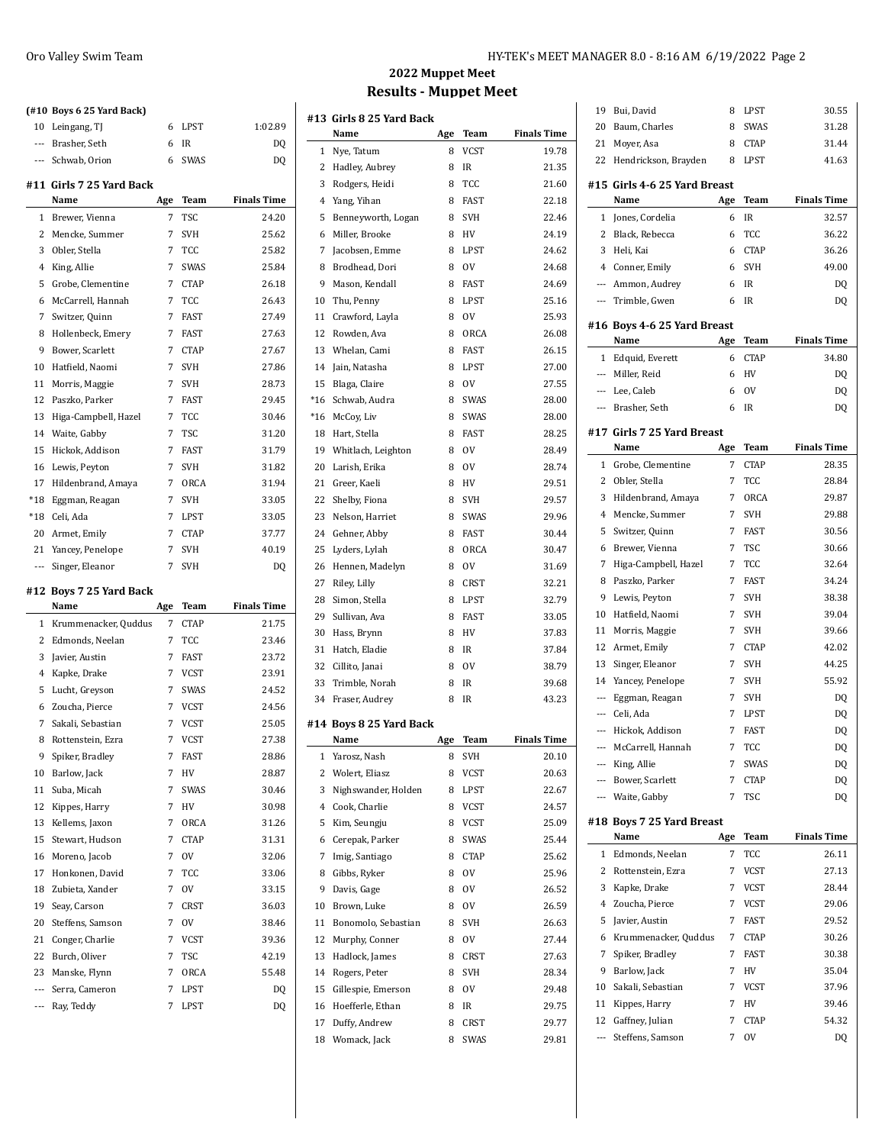|                | (#10 Boys 6 25 Yard Back)    |        |              |                    |
|----------------|------------------------------|--------|--------------|--------------------|
| 10             | Leingang, TJ                 | 6      | LPST         | 1:02.89            |
| $\overline{a}$ | Brasher. Seth                | 6      | IR           | DQ                 |
| $---$          | Schwab, Orion                | 6      | <b>SWAS</b>  | DQ                 |
|                | #11  Girls 7 25 Yard Back    |        |              |                    |
|                | Name                         | Age    | Team         | <b>Finals Time</b> |
| 1              | Brewer, Vienna               | 7      | TSC          | 24.20              |
| 2              | Mencke, Summer               | 7      | SVH          | 25.62              |
| 3              | Obler, Stella                | 7      | TCC          | 25.82              |
| 4              | King, Allie                  | 7      | SWAS         | 25.84              |
| 5              | Grobe, Clementine            | 7      | <b>CTAP</b>  | 26.18              |
| 6              | McCarrell, Hannah            | 7      | TCC          | 26.43              |
| 7              | Switzer, Quinn               | 7      | <b>FAST</b>  | 27.49              |
| 8              | Hollenbeck, Emery            | 7      | FAST         | 27.63              |
| 9              | Bower, Scarlett              | 7      | <b>CTAP</b>  | 27.67              |
| 10             | Hatfield, Naomi              | 7      | <b>SVH</b>   | 27.86              |
| 11             | Morris, Maggie               | 7      | <b>SVH</b>   | 28.73              |
| 12             | Paszko, Parker               | 7      | <b>FAST</b>  | 29.45              |
| 13             | Higa-Campbell, Hazel         | 7      | TCC          | 30.46              |
| 14             | Waite, Gabby                 | 7      | <b>TSC</b>   | 31.20              |
| 15             | Hickok, Addison              | 7      | <b>FAST</b>  | 31.79              |
| 16             | Lewis, Peyton                | 7      | SVH          | 31.82              |
| 17             | Hildenbrand, Amaya           | 7      | ORCA         | 31.94              |
| $*18$          | Eggman, Reagan               | 7      | <b>SVH</b>   | 33.05              |
| *18            | Celi, Ada                    | 7      | LPST         | 33.05              |
| 20             | Armet, Emily                 | 7      | <b>CTAP</b>  | 37.77              |
| 21             | Yancey, Penelope             | 7      | <b>SVH</b>   | 40.19              |
| ---            | Singer, Eleanor              | 7      | SVH          | DQ                 |
|                |                              |        |              |                    |
|                |                              |        |              |                    |
|                | #12 Boys 7 25 Yard Back      |        |              |                    |
|                | Name                         | Age    | Team         | <b>Finals Time</b> |
| 1<br>2         | Krummenacker, Quddus         | 7<br>7 | <b>CTAP</b>  | 21.75              |
|                | Edmonds, Neelan              |        | TCC          | 23.46              |
| 3              | Javier, Austin               | 7      | FAST         | 23.72              |
| $\overline{4}$ | Kapke, Drake                 | 7      | <b>VCST</b>  | 23.91              |
| 5              | Lucht, Greyson               | 7      | SWAS         | 24.52              |
| 6              | Zoucha, Pierce               | 7      | VCST         | 24.56              |
| 7              | Sakali, Sebastian            | 7      | <b>VCST</b>  | 25.05              |
| 8              | Rottenstein, Ezra            | 7      | <b>VCST</b>  | 27.38              |
| 9              | Spiker, Bradley              | 7      | FAST         | 28.86              |
| 10             | Barlow, Jack                 | 7      | HV           | 28.87              |
| 11             | Suba, Micah                  | 7      | SWAS         | 30.46              |
| 12             | Kippes, Harry                | 7      | HV           | 30.98              |
| 13             | Kellems, Jaxon               | 7      | ORCA         | 31.26              |
| 15             | Stewart, Hudson              | 7      | <b>CTAP</b>  | 31.31              |
| 16             | Moreno, Jacob                | 7      | 0V           | 32.06              |
| 17             | Honkonen, David              | 7      | TCC          | 33.06              |
| 18             | Zubieta, Xander              | 7      | 0V           | 33.15              |
| 19             | Seay, Carson                 | 7      | CRST         | 36.03              |
| 20             | Steffens, Samson             | 7      | 0V           | 38.46              |
| 21             | Conger, Charlie              | 7      | <b>VCST</b>  | 39.36              |
| 22             | Burch, Oliver                | 7      | TSC          | 42.19              |
| 23             | Manske, Flynn                | 7      | ORCA         | 55.48              |
| ---<br>---     | Serra, Cameron<br>Ray, Teddy | 7<br>7 | LPST<br>LPST | DQ<br>DQ           |

## **2022 Muppet Meet Results - Muppet Meet**

|                | #13 Girls 8 25 Yard Back |     |             |                    |
|----------------|--------------------------|-----|-------------|--------------------|
|                | Name                     | Age | Team        | <b>Finals Time</b> |
| 1              | Nye, Tatum               | 8   | <b>VCST</b> | 19.78              |
| 2              | Hadley, Aubrey           | 8   | IR          | 21.35              |
| 3              | Rodgers, Heidi           | 8   | TCC         | 21.60              |
| $\overline{4}$ | Yang, Yihan              | 8   | <b>FAST</b> | 22.18              |
| 5              | Benneyworth, Logan       | 8   | SVH         | 22.46              |
| 6              | Miller, Brooke           | 8   | HV          | 24.19              |
| 7              | Jacobsen, Emme           | 8   | <b>LPST</b> | 24.62              |
| 8              | Brodhead, Dori           | 8   | 0V          | 24.68              |
| 9              | Mason, Kendall           | 8   | <b>FAST</b> | 24.69              |
| 10             | Thu, Penny               | 8   | <b>LPST</b> | 25.16              |
| 11             | Crawford, Layla          | 8   | <b>OV</b>   | 25.93              |
| 12             | Rowden, Ava              | 8   | ORCA        | 26.08              |
| 13             | Whelan, Cami             | 8   | <b>FAST</b> | 26.15              |
| 14             | Jain, Natasha            | 8   | LPST        | 27.00              |
| 15             | Blaga, Claire            | 8   | <b>OV</b>   | 27.55              |
| $*16$          | Schwab, Audra            | 8   | <b>SWAS</b> | 28.00              |
| $*16$          | McCoy, Liv               | 8   | SWAS        | 28.00              |
| 18             | Hart, Stella             | 8   | <b>FAST</b> | 28.25              |
| 19             | Whitlach, Leighton       | 8   | <b>OV</b>   | 28.49              |
| 20             | Larish, Erika            | 8   | <b>OV</b>   | 28.74              |
| 21             | Greer, Kaeli             | 8   | HV          | 29.51              |
| 22             | Shelby, Fiona            | 8   | <b>SVH</b>  | 29.57              |
| 23             | Nelson, Harriet          | 8   | <b>SWAS</b> | 29.96              |
| 24             | Gehner, Abby             | 8   | <b>FAST</b> | 30.44              |
| 25             | Lyders, Lylah            | 8   | ORCA        | 30.47              |
| 26             | Hennen, Madelyn          | 8   | <b>OV</b>   | 31.69              |
| 27             | Riley, Lilly             | 8   | CRST        | 32.21              |
| 28             | Simon, Stella            | 8   | LPST        | 32.79              |
| 29             | Sullivan, Ava            | 8   | FAST        | 33.05              |
| 30             | Hass, Brynn              | 8   | HV          | 37.83              |
| 31             | Hatch, Eladie            | 8   | IR          | 37.84              |
| 32             | Cillito, Janai           | 8   | 0V          | 38.79              |
| 33             | Trimble, Norah           | 8   | IR          | 39.68              |
| 34             | Fraser, Audrey           | 8   | IR          | 43.23              |
|                | #14 Boys 8 25 Yard Back  |     |             |                    |
|                | Name                     | Age | Team        | <b>Finals Time</b> |
| 1              | Yarosz, Nash             | 8   | SVH         | 20.10              |
| 2              | Wolert, Eliasz           | 8   | <b>VCST</b> | 20.63              |
| 3              | Nighswander, Holden      | 8   | LPST        | 22.67              |
| $\overline{4}$ | Cook, Charlie            | 8   | VCST        | 24.57              |
| 5              | Kim, Seungju             | 8   | <b>VCST</b> | 25.09              |
| 6              | Cerepak, Parker          | 8   | SWAS        | 25.44              |
| 7              | Imig, Santiago           | 8   | <b>CTAP</b> | 25.62              |
| 8              | Gibbs, Ryker             | 8   | <b>OV</b>   | 25.96              |
| 9              | Davis, Gage              | 8   | 0V          | 26.52              |
| 10             | Brown, Luke              | 8   | ov          | 26.59              |
| 11             | Bonomolo, Sebastian      | 8   | SVH         | 26.63              |
| 12             | Murphy, Conner           | 8   | ov          | 27.44              |
| 13             | Hadlock, James           | 8   | CRST        | 27.63              |
| 14             | Rogers, Peter            | 8   | SVH         | 28.34              |
| 15             | Gillespie, Emerson       | 8   | 0V          | 29.48              |
| 16             | Hoefferle, Ethan         | 8   | IR          | 29.75              |
| 17             | Duffy, Andrew            | 8   | <b>CRST</b> | 29.77              |
| 18             | Womack, Jack             | 8   | SWAS        | 29.81              |

| 19                       | Bui, David                   | 8   | LPST        | 30.55              |
|--------------------------|------------------------------|-----|-------------|--------------------|
| 20                       | Baum, Charles                | 8   | SWAS        | 31.28              |
| 21                       | Moyer, Asa                   | 8   | CTAP        | 31.44              |
| 22                       | Hendrickson, Brayden         | 8   | LPST        | 41.63              |
|                          |                              |     |             |                    |
|                          | #15 Girls 4-6 25 Yard Breast |     |             |                    |
|                          | Name                         | Age | <b>Team</b> | <b>Finals Time</b> |
| 1                        | Jones, Cordelia              | 6   | IR          | 32.57              |
| 2                        | Black, Rebecca               | 6   | TCC         | 36.22              |
| 3                        | Heli, Kai                    | 6   | <b>CTAP</b> | 36.26              |
| 4                        | Conner, Emily                | 6   | <b>SVH</b>  | 49.00              |
|                          | --- Ammon, Audrey            | 6   | IR          | DQ                 |
|                          | --- Trimble, Gwen            | 6   | IR          | DQ                 |
|                          | #16 Boys 4-6 25 Yard Breast  |     |             |                    |
|                          | Name                         | Age | Team        | <b>Finals Time</b> |
|                          | 1 Edquid, Everett            | 6   | <b>CTAP</b> | 34.80              |
|                          | --- Miller, Reid             | 6   | HV          | DQ                 |
|                          | --- Lee, Caleb               | 6   | 0V          | DQ                 |
| $\sim$                   | Brasher, Seth                | 6   | IR          | DQ                 |
|                          |                              |     |             |                    |
|                          | #17 Girls 7 25 Yard Breast   |     |             |                    |
|                          | Name                         | Age | Team        | <b>Finals Time</b> |
| 1                        | Grobe, Clementine            | 7   | <b>CTAP</b> | 28.35              |
| 2                        | Obler, Stella                | 7   | TCC         | 28.84              |
| 3                        | Hildenbrand, Amaya           | 7   | ORCA        | 29.87              |
| 4                        | Mencke, Summer               | 7   | <b>SVH</b>  | 29.88              |
| 5                        | Switzer, Quinn               | 7   | FAST        | 30.56              |
| 6                        | Brewer, Vienna               | 7   | <b>TSC</b>  | 30.66              |
| 7                        | Higa-Campbell, Hazel         | 7   | TCC         | 32.64              |
| 8                        | Paszko, Parker               | 7   | <b>FAST</b> | 34.24              |
| 9                        | Lewis, Peyton                | 7   | <b>SVH</b>  | 38.38              |
| 10                       | Hatfield, Naomi              | 7   | <b>SVH</b>  | 39.04              |
| 11                       | Morris, Maggie               | 7   | <b>SVH</b>  | 39.66              |
| 12                       | Armet, Emily                 | 7   | <b>CTAP</b> | 42.02              |
| 13                       | Singer, Eleanor              | 7   | <b>SVH</b>  | 44.25              |
| 14                       | Yancey, Penelope             | 7   | <b>SVH</b>  | 55.92              |
| ---                      | Eggman, Reagan               | 7   | <b>SVH</b>  | DQ                 |
| ---                      | Celi, Ada                    | 7   | LPST        | DQ                 |
| ---                      | Hickok, Addison              | 7   | <b>FAST</b> | DQ                 |
|                          | McCarrell, Hannah            | 7   | TCC         | DQ                 |
| $---$                    | King, Allie                  | 7   | SWAS        | DQ                 |
| $\overline{a}$           | Bower, Scarlett              | 7   | <b>CTAP</b> | DQ                 |
| $\overline{\phantom{a}}$ | Waite, Gabby                 | 7   | TSC         | DQ                 |
|                          |                              |     |             |                    |
|                          | #18 Boys 7 25 Yard Breast    |     |             |                    |
|                          | Name                         | Age | Team        | <b>Finals Time</b> |
| 1                        | Edmonds, Neelan              | 7   | TCC         | 26.11              |
| 2                        | Rottenstein, Ezra            | 7   | <b>VCST</b> | 27.13              |
| 3                        | Kapke, Drake                 | 7   | <b>VCST</b> | 28.44              |
| 4                        | Zoucha, Pierce               | 7   | VCST        | 29.06              |
| 5                        | Javier, Austin               | 7   | FAST        | 29.52              |
| 6                        | Krummenacker, Quddus         | 7   | <b>CTAP</b> | 30.26              |
| 7                        | Spiker, Bradley              | 7   | FAST        | 30.38              |
| 9                        | Barlow, Jack                 | 7   | HV          | 35.04              |
| 10                       | Sakali, Sebastian            | 7   | VCST        | 37.96              |
| 11                       | Kippes, Harry                | 7   | HV          | 39.46              |
| 12                       | Gaffney, Julian              | 7   | <b>CTAP</b> | 54.32              |
| ---                      | Steffens, Samson             | 7   | ov          | DQ                 |
|                          |                              |     |             |                    |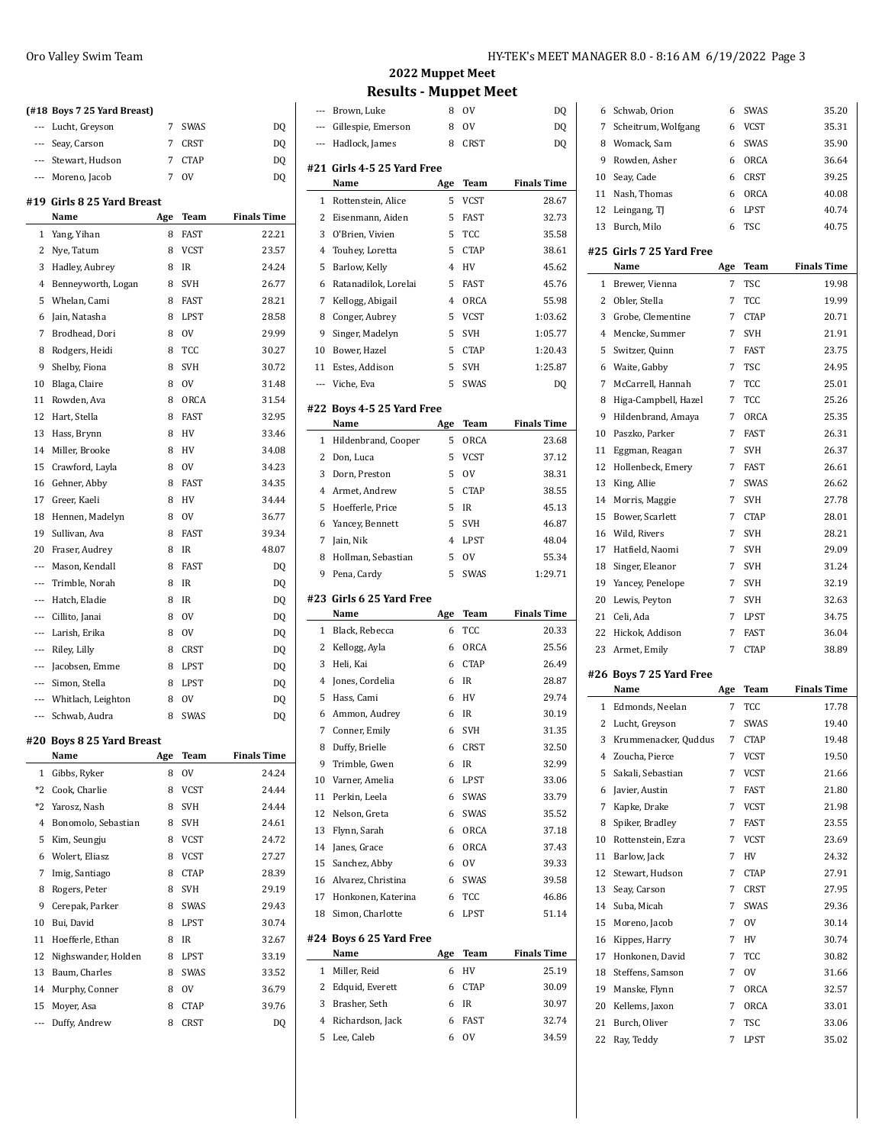|                    | (#18 Boys 7 25 Yard Breast)       |     |             |                    |
|--------------------|-----------------------------------|-----|-------------|--------------------|
|                    | --- Lucht, Greyson                | 7   | SWAS        | DQ                 |
|                    | --- Seay, Carson                  | 7   | <b>CRST</b> | DQ                 |
|                    | --- Stewart, Hudson               | 7   | <b>CTAP</b> | DQ                 |
|                    | --- Moreno, Jacob                 | 7   | <b>OV</b>   | DQ                 |
|                    | #19 Girls 8 25 Yard Breast        |     |             |                    |
|                    | Name                              | Age | Team        | <b>Finals Time</b> |
| 1                  | Yang, Yihan                       | 8   | <b>FAST</b> | 22.21              |
| 2                  | Nye, Tatum                        | 8   | <b>VCST</b> | 23.57              |
|                    | 3 Hadley, Aubrey                  | 8   | IR          | 24.24              |
| 4                  | Benneyworth, Logan                | 8   | <b>SVH</b>  | 26.77              |
| 5                  | Whelan, Cami                      | 8   | <b>FAST</b> | 28.21              |
| 6                  | Jain, Natasha                     | 8   | LPST        | 28.58              |
| 7                  | Brodhead, Dori                    | 8   | <b>OV</b>   | 29.99              |
| 8                  | Rodgers, Heidi                    | 8   | TCC         | 30.27              |
| 9                  | Shelby, Fiona                     | 8   | <b>SVH</b>  | 30.72              |
| 10                 | Blaga, Claire                     | 8   | 0V          | 31.48              |
| 11                 | Rowden, Ava                       | 8   | ORCA        | 31.54              |
| 12                 | Hart, Stella                      | 8   | <b>FAST</b> | 32.95              |
| 13                 | Hass, Brynn                       | 8   | HV          | 33.46              |
|                    | 14 Miller, Brooke                 | 8   | HV          | 34.08              |
| 15                 | Crawford, Layla                   | 8   | <b>OV</b>   | 34.23              |
| 16                 | Gehner, Abby                      | 8   | <b>FAST</b> | 34.35              |
| 17                 | Greer, Kaeli                      | 8   | HV          | 34.44              |
| 18                 | Hennen, Madelyn                   | 8   | 0V          | 36.77              |
| 19                 | Sullivan, Ava                     | 8   | <b>FAST</b> | 39.34              |
| 20                 | Fraser, Audrey                    | 8   | <b>IR</b>   | 48.07              |
|                    | --- Mason, Kendall                | 8   | <b>FAST</b> | DQ                 |
|                    | --- Trimble, Norah                | 8   | <b>IR</b>   | DQ                 |
| $\qquad \qquad -1$ | Hatch, Eladie                     | 8   | <b>IR</b>   | DQ                 |
|                    | --- Cillito, Janai                | 8   | 0V          | DQ                 |
|                    | --- Larish, Erika                 | 8   | 0V          | DQ                 |
| ---                | Riley, Lilly                      | 8   | CRST        | DQ                 |
|                    | --- Jacobsen, Emme                | 8   | LPST        | DQ                 |
|                    | --- Simon, Stella                 | 8   | <b>LPST</b> | DQ                 |
| $---$              | Whitlach, Leighton                | 8   | <b>OV</b>   | DQ                 |
|                    | --- Schwab, Audra                 | 8   | <b>SWAS</b> | DQ                 |
|                    |                                   |     |             |                    |
|                    | #20 Boys 8 25 Yard Breast<br>Name | Age | Team        | <b>Finals Time</b> |
| $\mathbf{1}$       | Gibbs, Ryker                      | 8   | 0V          | 24.24              |
| *2                 | Cook, Charlie                     | 8   | VCST        | 24.44              |
| *2                 | Yarosz, Nash                      | 8   | <b>SVH</b>  | 24.44              |
| 4                  | Bonomolo, Sebastian               | 8   | SVH         | 24.61              |
| 5                  | Kim, Seungju                      | 8   | VCST        | 24.72              |
| 6                  | Wolert, Eliasz                    | 8   | VCST        | 27.27              |
| 7                  | Imig, Santiago                    | 8   | <b>CTAP</b> | 28.39              |
| 8                  | Rogers, Peter                     | 8   | SVH         | 29.19              |
|                    |                                   |     |             |                    |
| 9                  | Cerepak, Parker                   | 8   | SWAS        | 29.43              |
| 10                 | Bui, David                        | 8   | LPST        | 30.74              |
| 11                 | Hoefferle, Ethan                  | 8   | IR          | 32.67              |
| 12                 | Nighswander, Holden               | 8   | LPST        | 33.19              |
| 13                 | Baum, Charles                     | 8   | SWAS        | 33.52              |
| 14                 | Murphy, Conner                    | 8   | ov          | 36.79              |
| 15                 | Moyer, Asa                        | 8   | <b>CTAP</b> | 39.76              |
| ---                | Duffy, Andrew                     | 8   | CRST        | DQ                 |

## **2022 Muppet Meet Results - Muppet Meet**

| ---                 | Brown, Luke                        | 8              | <b>OV</b>                | DQ                 |
|---------------------|------------------------------------|----------------|--------------------------|--------------------|
|                     | Gillespie, Emerson                 | 8              | 0V                       | DQ                 |
| $\overline{a}$      | Hadlock, James                     | 8              | <b>CRST</b>              | DQ                 |
|                     |                                    |                |                          |                    |
|                     | #21 Girls 4-5 25 Yard Free<br>Name | Age            | Team                     | <b>Finals Time</b> |
| 1                   | Rottenstein, Alice                 | 5              | <b>VCST</b>              | 28.67              |
| 2                   | Eisenmann, Aiden                   | 5              | FAST                     | 32.73              |
| 3                   | O'Brien, Vivien                    | 5              | TCC                      | 35.58              |
| 4                   | Touhey, Loretta                    | 5              | <b>CTAP</b>              | 38.61              |
| 5                   | Barlow, Kelly                      | 4              | HV                       | 45.62              |
| 6                   | Ratanadilok, Lorelai               | 5              | <b>FAST</b>              | 45.76              |
| 7                   | Kellogg, Abigail                   | $\overline{4}$ | ORCA                     | 55.98              |
| 8                   | Conger, Aubrey                     | 5              | VCST                     | 1:03.62            |
| 9                   | Singer, Madelyn                    | 5              | <b>SVH</b>               | 1:05.77            |
| 10                  | Bower, Hazel                       | 5              | <b>CTAP</b>              | 1:20.43            |
| 11                  | Estes, Addison                     | 5              | <b>SVH</b>               | 1:25.87            |
| ---                 | Viche, Eva                         | 5              | SWAS                     | DQ                 |
|                     |                                    |                |                          |                    |
|                     | #22 Boys 4-5 25 Yard Free          |                |                          |                    |
|                     | Name                               | Age            | Team                     | <b>Finals Time</b> |
| 1                   | Hildenbrand, Cooper                | 5              | ORCA                     | 23.68              |
| 2                   | Don, Luca                          | 5              | VCST                     | 37.12              |
| 3                   | Dorn, Preston                      | 5              | <b>OV</b>                | 38.31              |
| 4                   | Armet, Andrew                      | 5              | <b>CTAP</b>              | 38.55              |
| 5                   | Hoefferle, Price                   | 5              | IR                       | 45.13              |
| 6                   | Yancey, Bennett                    | 5              | <b>SVH</b>               | 46.87              |
| 7                   | Jain, Nik                          | 4              | LPST                     | 48.04              |
| 8                   | Hollman, Sebastian                 | 5              | 0V                       | 55.34              |
| 9                   | Pena, Cardy                        | 5              | <b>SWAS</b>              | 1:29.71            |
|                     |                                    |                |                          |                    |
|                     | #23 Girls 6 25 Yard Free           |                |                          |                    |
|                     | Name                               | Age            | Team                     | <b>Finals Time</b> |
| 1                   | Black, Rebecca                     | 6              | TCC                      | 20.33              |
| 2                   | Kellogg, Ayla                      | 6              | ORCA                     | 25.56              |
| 3                   | Heli, Kai                          | 6              | <b>CTAP</b>              | 26.49              |
| 4                   | Jones, Cordelia                    | 6              | IR                       | 28.87              |
| 5                   | Hass, Cami                         | 6              | HV                       | 29.74              |
| 6                   | Ammon, Audrey                      | 6              | IR                       | 30.19              |
| 7                   | Conner, Emily                      | 6              | <b>SVH</b>               | 31.35              |
| 8                   | Duffy, Brielle                     | 6              | CRST                     | 32.50              |
| 9                   | Trimble, Gwen                      | 6              | IR                       | 32.99              |
| 10                  | Varner, Amelia                     | 6              | LPST                     | 33.06              |
| 11                  | Perkin, Leela                      | 6              | SWAS                     | 33.79              |
| 12                  | Nelson, Greta                      | 6              | SWAS                     | 35.52              |
| 13                  | Flynn, Sarah                       | 6              | ORCA                     | 37.18              |
| 14                  | Janes, Grace                       | 6              | ORCA                     | 37.43              |
| 15                  | Sanchez, Abby                      | 6              | ov                       | 39.33              |
| 16                  | Alvarez, Christina                 | 6              | SWAS                     | 39.58              |
| 17<br>18            | Honkonen, Katerina                 | 6<br>6         | TCC                      | 46.86              |
|                     | Simon, Charlotte                   |                | LPST                     | 51.14              |
|                     | #24 Boys 6 25 Yard Free            |                |                          |                    |
|                     | Name                               | Age            | Team                     | <b>Finals Time</b> |
| 1                   | Miller, Reid                       | 6              | HV                       | 25.19              |
| 2                   | Edquid, Everett                    | 6              | <b>CTAP</b>              | 30.09              |
| 3                   | Brasher, Seth                      | 6              | IR                       | 30.97              |
| $\overline{4}$<br>5 | Richardson, Jack<br>Lee, Caleb     | 6<br>6         | <b>FAST</b><br><b>OV</b> | 32.74<br>34.59     |

| DQ      | 6              | Schwab, Orion                    | 6   | SWAS               | 35.20              |
|---------|----------------|----------------------------------|-----|--------------------|--------------------|
| DQ      | 7              | Scheitrum, Wolfgang              | 6   | VCST               | 35.31              |
| DQ      | 8              | Womack, Sam                      | 6   | SWAS               | 35.90              |
|         | 9              | Rowden, Asher                    | 6   | ORCA               | 36.64              |
| ⊺ime    | 10             | Seav, Cade                       | 6   | CRST               | 39.25              |
|         | 11             | Nash, Thomas                     | 6   | ORCA               | 40.08              |
| 8.67    | 12             | Leingang, TJ                     | 6   | LPST               | 40.74              |
| 2.73    | 13             | Burch, Milo                      | 6   | TSC                | 40.75              |
| 5.58    |                |                                  |     |                    |                    |
| 8.61    |                | #25 Girls 7 25 Yard Free<br>Name |     |                    | <b>Finals Time</b> |
| $-5.62$ |                |                                  | Age | Team<br><b>TSC</b> |                    |
| 5.76    | 1              | Brewer, Vienna                   | 7   |                    | 19.98              |
| 5.98    | $\overline{2}$ | Obler, Stella                    | 7   | TCC                | 19.99              |
| 13.62   |                | 3 Grobe, Clementine              | 7   | <b>CTAP</b>        | 20.71              |
| 15.77   | 4              | Mencke, Summer                   | 7   | <b>SVH</b>         | 21.91              |
| 0.43    | 5              | Switzer, Quinn                   | 7   | <b>FAST</b>        | 23.75              |
| 5.87    | 6              | Waite, Gabby                     | 7   | <b>TSC</b>         | 24.95              |
| DQ      | 7              | McCarrell, Hannah                | 7   | TCC                | 25.01              |
|         | 8              | Higa-Campbell, Hazel             | 7   | TCC                | 25.26              |
| `ime    | 9              | Hildenbrand, Amaya               | 7   | ORCA               | 25.35              |
| :3.68   | 10             | Paszko, Parker                   | 7   | FAST               | 26.31              |
| 7.12    | 11             | Eggman, Reagan                   | 7   | <b>SVH</b>         | 26.37              |
| 8.31    | 12             | Hollenbeck, Emery                | 7   | FAST               | 26.61              |
| 8.55    | 13             | King, Allie                      | 7   | <b>SWAS</b>        | 26.62              |
| $-5.13$ | 14             | Morris, Maggie                   | 7   | <b>SVH</b>         | 27.78              |
| $-6.87$ | 15             | Bower, Scarlett                  | 7   | <b>CTAP</b>        | 28.01              |
| $-8.04$ | 16             | Wild, Rivers                     | 7   | <b>SVH</b>         | 28.21              |
| 5.34    | 17             | Hatfield, Naomi                  | 7   | <b>SVH</b>         | 29.09              |
| 9.71    | 18             | Singer, Eleanor                  | 7   | <b>SVH</b>         | 31.24              |
|         |                | 19 Yancey, Penelope              | 7   | SVH                | 32.19              |
|         | 20             | Lewis, Peyton                    | 7   | <b>SVH</b>         | 32.63              |
| `ime    | 21             | Celi, Ada                        | 7   | LPST               | 34.75              |
| 0.33    | 22             | Hickok, Addison                  | 7   | FAST               | 36.04              |
| 5.56    |                | 23 Armet, Emily                  | 7   | <b>CTAP</b>        | 38.89              |
| :6.49   |                | #26 Boys 7 25 Yard Free          |     |                    |                    |
| 8.87    |                | Name                             | Age | Team               | <b>Finals Time</b> |
| 9.74    | $\mathbf{1}$   | Edmonds, Neelan                  | 7   | <b>TCC</b>         | 17.78              |
| 0.19    | 2              | Lucht, Greyson                   | 7   | SWAS               | 19.40              |
| 1.35    | 3              | Krummenacker, Quddus             | 7   | <b>CTAP</b>        | 19.48              |
| 2.50    | 4              | Zoucha, Pierce                   | 7   | <b>VCST</b>        | 19.50              |
| 2.99    | 5              | Sakali, Sebastian                | 7   | <b>VCST</b>        | 21.66              |
| 3.06    | 6              | Javier, Austin                   | 7   | FAST               | 21.80              |
| 3.79    | 7              | Kapke, Drake                     | 7   | <b>VCST</b>        | 21.98              |
| 5.52    | 8              | Spiker, Bradley                  | 7   | FAST               | 23.55              |
| 17.18   | 10             | Rottenstein, Ezra                | 7   | <b>VCST</b>        | 23.69              |
| 7.43    | 11             | Barlow, Jack                     | 7   | HV                 | 24.32              |
| 9.33    | 12             | Stewart, Hudson                  | 7   | CTAP               | 27.91              |
| 9.58    | 13             | Seay, Carson                     | 7   | <b>CRST</b>        | 27.95              |
| -6.86   | 14             | Suba, Micah                      | 7   | SWAS               | 29.36              |
| 1.14    | 15             | Moreno, Jacob                    | 7   | 0V                 | 30.14              |
|         | 16             | Kippes, Harry                    | 7   | HV                 | 30.74              |
| `ime    | 17             | Honkonen, David                  | 7   | TCC                | 30.82              |
| 5.19    | 18             | Steffens, Samson                 | 7   | ov                 | 31.66              |
| 0.09    | 19             | Manske, Flynn                    | 7   | ORCA               | 32.57              |
| :0.97   | 20             | Kellems, Jaxon                   | 7   | ORCA               | 33.01              |
| 2.74    |                | Burch, Oliver                    | 7   | TSC                |                    |
|         |                |                                  |     |                    |                    |
| 4.59    | 21             |                                  |     |                    | 33.06              |
|         | 22             | Ray, Teddy                       | 7   | LPST               | 35.02              |